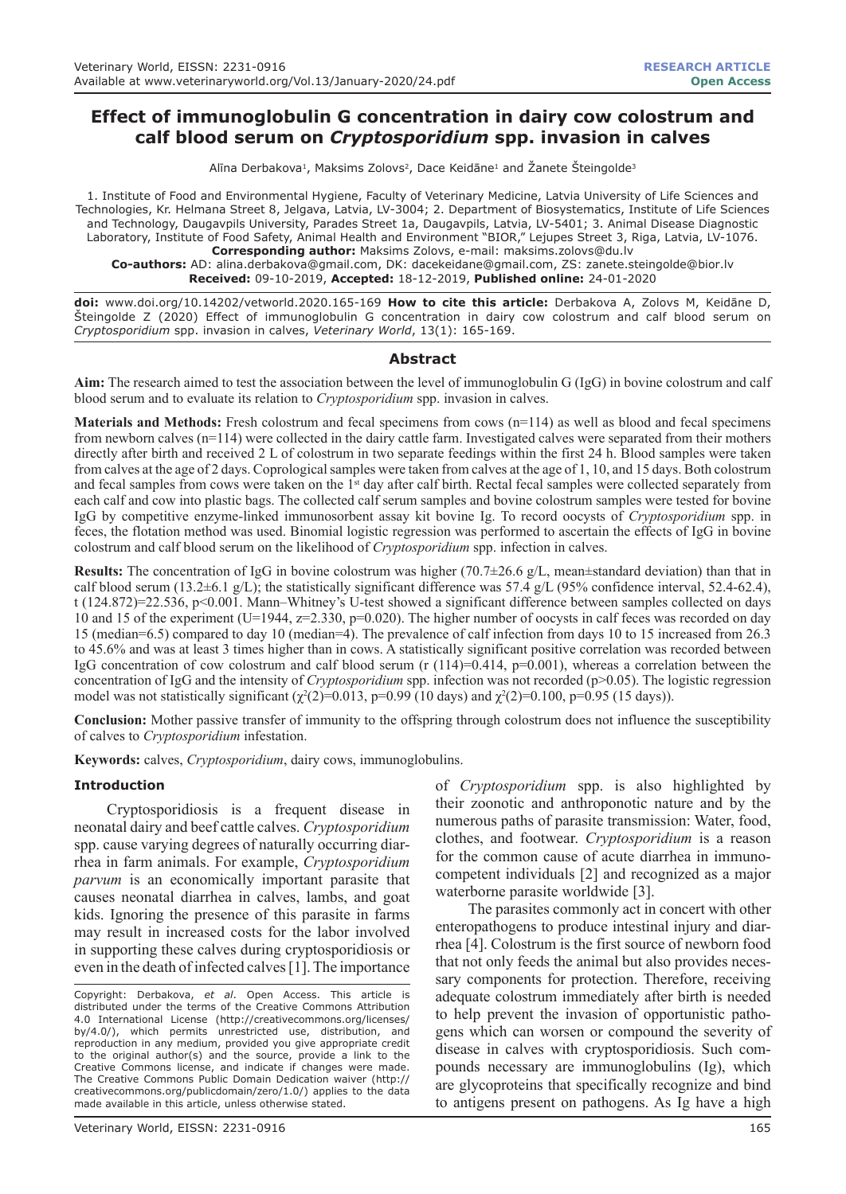# **Effect of immunoglobulin G concentration in dairy cow colostrum and calf blood serum on** *Cryptosporidium* **spp. invasion in calves**

Alīna Derbakova<sup>1</sup>, Maksims Zolovs<sup>2</sup>, Dace Keidāne<sup>1</sup> and Žanete Šteingolde<sup>3</sup>

1. Institute of Food and Environmental Hygiene, Faculty of Veterinary Medicine, Latvia University of Life Sciences and Technologies, Kr. Helmana Street 8, Jelgava, Latvia, LV-3004; 2. Department of Biosystematics, Institute of Life Sciences and Technology, Daugavpils University, Parades Street 1a, Daugavpils, Latvia, LV-5401; 3. Animal Disease Diagnostic Laboratory, Institute of Food Safety, Animal Health and Environment "BIOR," Lejupes Street 3, Riga, Latvia, LV-1076. **Corresponding author:** Maksims Zolovs, e-mail: maksims.zolovs@du.lv

**Co-authors:** AD: alina.derbakova@gmail.com, DK: dacekeidane@gmail.com, ZS: zanete.steingolde@bior.lv **Received:** 09-10-2019, **Accepted:** 18-12-2019, **Published online:** 24-01-2020

**doi:** www.doi.org/10.14202/vetworld.2020.165-169 **How to cite this article:** Derbakova A, Zolovs M, Keidāne D, Šteingolde Z (2020) Effect of immunoglobulin G concentration in dairy cow colostrum and calf blood serum on *Cryptosporidium* spp. invasion in calves, *Veterinary World*, 13(1): 165-169.

### **Abstract**

**Aim:** The research aimed to test the association between the level of immunoglobulin G (IgG) in bovine colostrum and calf blood serum and to evaluate its relation to *Cryptosporidium* spp. invasion in calves.

**Materials and Methods:** Fresh colostrum and fecal specimens from cows (n=114) as well as blood and fecal specimens from newborn calves (n=114) were collected in the dairy cattle farm. Investigated calves were separated from their mothers directly after birth and received 2 L of colostrum in two separate feedings within the first 24 h. Blood samples were taken from calves at the age of 2 days. Coprological samples were taken from calves at the age of 1, 10, and 15 days. Both colostrum and fecal samples from cows were taken on the 1<sup>st</sup> day after calf birth. Rectal fecal samples were collected separately from each calf and cow into plastic bags. The collected calf serum samples and bovine colostrum samples were tested for bovine IgG by competitive enzyme-linked immunosorbent assay kit bovine Ig. To record oocysts of *Cryptosporidium* spp. in feces, the flotation method was used. Binomial logistic regression was performed to ascertain the effects of IgG in bovine colostrum and calf blood serum on the likelihood of *Cryptosporidium* spp. infection in calves.

**Results:** The concentration of IgG in bovine colostrum was higher (70.7±26.6 g/L, mean±standard deviation) than that in calf blood serum (13.2±6.1 g/L); the statistically significant difference was 57.4 g/L (95% confidence interval, 52.4-62.4), t (124.872)=22.536, p<0.001. Mann–Whitney's U-test showed a significant difference between samples collected on days 10 and 15 of the experiment (U=1944, z=2.330, p=0.020). The higher number of oocysts in calf feces was recorded on day 15 (median=6.5) compared to day 10 (median=4). The prevalence of calf infection from days 10 to 15 increased from 26.3 to 45.6% and was at least 3 times higher than in cows. A statistically significant positive correlation was recorded between IgG concentration of cow colostrum and calf blood serum (r (114)=0.414, p=0.001), whereas a correlation between the concentration of IgG and the intensity of *Cryptosporidium* spp. infection was not recorded (p>0.05). The logistic regression model was not statistically significant  $(\chi^2(2)=0.013, p=0.99$  (10 days) and  $\chi^2(2)=0.100, p=0.95$  (15 days)).

**Conclusion:** Mother passive transfer of immunity to the offspring through colostrum does not influence the susceptibility of calves to *Cryptosporidium* infestation.

**Keywords:** calves, *Cryptosporidium*, dairy cows, immunoglobulins.

### **Introduction**

Cryptosporidiosis is a frequent disease in neonatal dairy and beef cattle calves. *Cryptosporidium* spp. cause varying degrees of naturally occurring diarrhea in farm animals. For example, *Cryptosporidium parvum* is an economically important parasite that causes neonatal diarrhea in calves, lambs, and goat kids. Ignoring the presence of this parasite in farms may result in increased costs for the labor involved in supporting these calves during cryptosporidiosis or even in the death of infected calves [1]. The importance

Copyright: Derbakova, *et al*. Open Access. This article is distributed under the terms of the Creative Commons Attribution 4.0 International License (http://creativecommons.org/licenses/ by/4.0/), which permits unrestricted use, distribution, and reproduction in any medium, provided you give appropriate credit to the original author(s) and the source, provide a link to the Creative Commons license, and indicate if changes were made. The Creative Commons Public Domain Dedication waiver (http:// creativecommons.org/publicdomain/zero/1.0/) applies to the data made available in this article, unless otherwise stated.

Veterinary World, EISSN: 2231-0916 165

of *Cryptosporidium* spp. is also highlighted by their zoonotic and anthroponotic nature and by the numerous paths of parasite transmission: Water, food, clothes, and footwear. *Cryptosporidium* is a reason for the common cause of acute diarrhea in immunocompetent individuals [2] and recognized as a major waterborne parasite worldwide [3].

The parasites commonly act in concert with other enteropathogens to produce intestinal injury and diarrhea [4]. Colostrum is the first source of newborn food that not only feeds the animal but also provides necessary components for protection. Therefore, receiving adequate colostrum immediately after birth is needed to help prevent the invasion of opportunistic pathogens which can worsen or compound the severity of disease in calves with cryptosporidiosis. Such compounds necessary are immunoglobulins (Ig), which are glycoproteins that specifically recognize and bind to antigens present on pathogens. As Ig have a high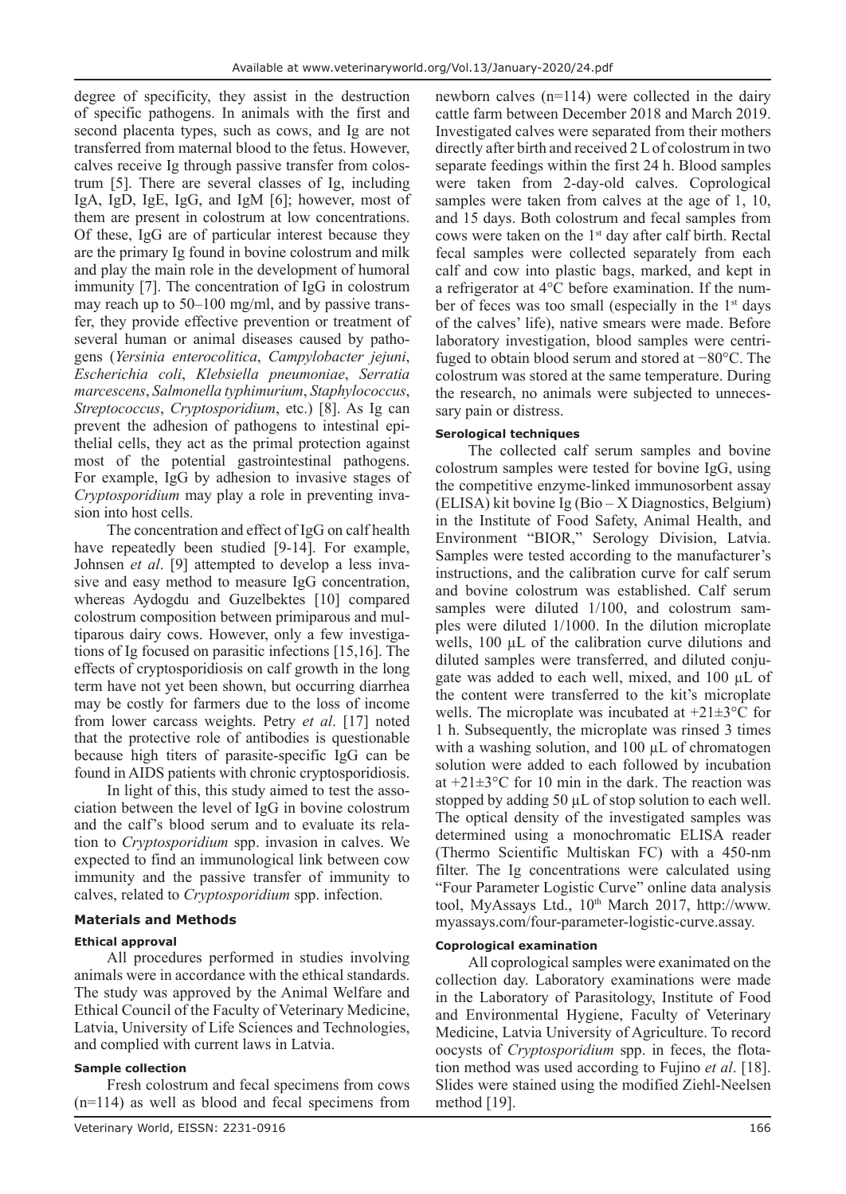degree of specificity, they assist in the destruction of specific pathogens. In animals with the first and second placenta types, such as cows, and Ig are not transferred from maternal blood to the fetus. However, calves receive Ig through passive transfer from colostrum [5]. There are several classes of Ig, including IgA, IgD, IgE, IgG, and IgM [6]; however, most of them are present in colostrum at low concentrations. Of these, IgG are of particular interest because they are the primary Ig found in bovine colostrum and milk and play the main role in the development of humoral immunity [7]. The concentration of IgG in colostrum may reach up to 50–100 mg/ml, and by passive transfer, they provide effective prevention or treatment of several human or animal diseases caused by pathogens (*Yersinia enterocolitica*, *Campylobacter jejuni*, *Escherichia coli*, *Klebsiella pneumoniae*, *Serratia marcescens*, *Salmonella typhimurium*, *Staphylococcus*, *Streptococcus*, *Cryptosporidium*, etc.) [8]. As Ig can prevent the adhesion of pathogens to intestinal epithelial cells, they act as the primal protection against most of the potential gastrointestinal pathogens. For example, IgG by adhesion to invasive stages of *Cryptosporidium* may play a role in preventing invasion into host cells.

The concentration and effect of IgG on calf health have repeatedly been studied [9-14]. For example, Johnsen *et al*. [9] attempted to develop a less invasive and easy method to measure IgG concentration, whereas Aydogdu and Guzelbektes [10] compared colostrum composition between primiparous and multiparous dairy cows. However, only a few investigations of Ig focused on parasitic infections [15,16]. The effects of cryptosporidiosis on calf growth in the long term have not yet been shown, but occurring diarrhea may be costly for farmers due to the loss of income from lower carcass weights. Petry *et al*. [17] noted that the protective role of antibodies is questionable because high titers of parasite-specific IgG can be found in AIDS patients with chronic cryptosporidiosis.

In light of this, this study aimed to test the association between the level of IgG in bovine colostrum and the calf's blood serum and to evaluate its relation to *Cryptosporidium* spp. invasion in calves. We expected to find an immunological link between cow immunity and the passive transfer of immunity to calves, related to *Cryptosporidium* spp. infection.

## **Materials and Methods**

### **Ethical approval**

All procedures performed in studies involving animals were in accordance with the ethical standards. The study was approved by the Animal Welfare and Ethical Council of the Faculty of Veterinary Medicine, Latvia, University of Life Sciences and Technologies, and complied with current laws in Latvia.

## **Sample collection**

Fresh colostrum and fecal specimens from cows (n=114) as well as blood and fecal specimens from

Veterinary World, EISSN: 2231-0916 166

newborn calves (n=114) were collected in the dairy cattle farm between December 2018 and March 2019. Investigated calves were separated from their mothers directly after birth and received 2 L of colostrum in two separate feedings within the first 24 h. Blood samples were taken from 2-day-old calves. Coprological samples were taken from calves at the age of 1, 10, and 15 days. Both colostrum and fecal samples from cows were taken on the  $1<sup>st</sup>$  day after calf birth. Rectal fecal samples were collected separately from each calf and cow into plastic bags, marked, and kept in a refrigerator at 4°C before examination. If the number of feces was too small (especially in the  $1<sup>st</sup>$  days of the calves' life), native smears were made. Before laboratory investigation, blood samples were centrifuged to obtain blood serum and stored at −80°C. The colostrum was stored at the same temperature. During the research, no animals were subjected to unnecessary pain or distress.

### **Serological techniques**

The collected calf serum samples and bovine colostrum samples were tested for bovine IgG, using the competitive enzyme-linked immunosorbent assay (ELISA) kit bovine Ig (Bio – X Diagnostics, Belgium) in the Institute of Food Safety, Animal Health, and Environment "BIOR," Serology Division, Latvia. Samples were tested according to the manufacturer's instructions, and the calibration curve for calf serum and bovine colostrum was established. Calf serum samples were diluted 1/100, and colostrum samples were diluted 1/1000. In the dilution microplate wells, 100  $\mu$ L of the calibration curve dilutions and diluted samples were transferred, and diluted conjugate was added to each well, mixed, and 100 µL of the content were transferred to the kit's microplate wells. The microplate was incubated at  $+21\pm3$ °C for 1 h. Subsequently, the microplate was rinsed 3 times with a washing solution, and 100  $\mu$ L of chromatogen solution were added to each followed by incubation at  $+21\pm3$ °C for 10 min in the dark. The reaction was stopped by adding 50  $\mu$ L of stop solution to each well. The optical density of the investigated samples was determined using a monochromatic ELISA reader (Thermo Scientific Multiskan FC) with a 450-nm filter. The Ig concentrations were calculated using "Four Parameter Logistic Curve" online data analysis tool, MyAssays Ltd., 10<sup>th</sup> March 2017, http://www. myassays.com/four-parameter-logistic-curve.assay.

### **Coprological examination**

All coprological samples were exanimated on the collection day. Laboratory examinations were made in the Laboratory of Parasitology, Institute of Food and Environmental Hygiene, Faculty of Veterinary Medicine, Latvia University of Agriculture. To record oocysts of *Cryptosporidium* spp. in feces, the flotation method was used according to Fujino *et al*. [18]. Slides were stained using the modified Ziehl-Neelsen method [19].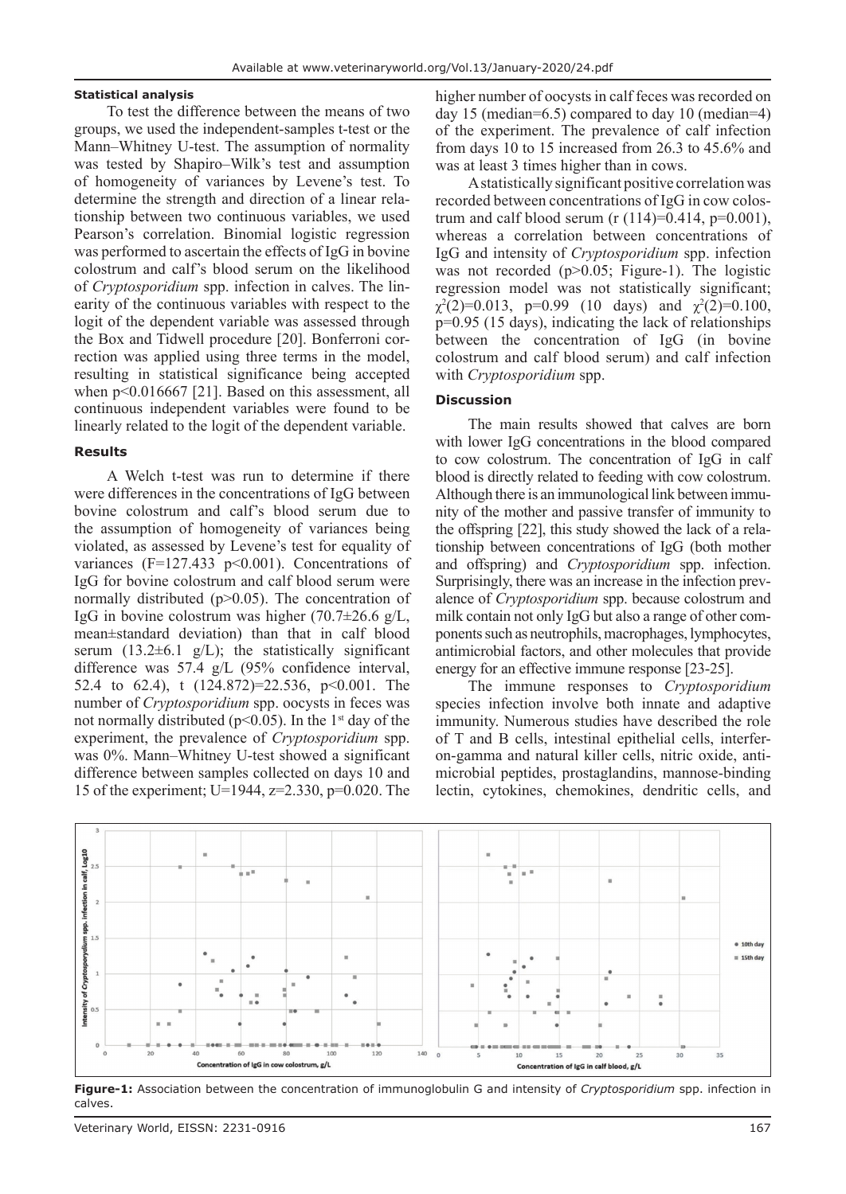#### **Statistical analysis**

To test the difference between the means of two groups, we used the independent-samples t-test or the Mann–Whitney U-test. The assumption of normality was tested by Shapiro–Wilk's test and assumption of homogeneity of variances by Levene's test. To determine the strength and direction of a linear relationship between two continuous variables, we used Pearson's correlation. Binomial logistic regression was performed to ascertain the effects of IgG in bovine colostrum and calf's blood serum on the likelihood of *Cryptosporidium* spp. infection in calves. The linearity of the continuous variables with respect to the logit of the dependent variable was assessed through the Box and Tidwell procedure [20]. Bonferroni correction was applied using three terms in the model, resulting in statistical significance being accepted when p<0.016667 [21]. Based on this assessment, all continuous independent variables were found to be linearly related to the logit of the dependent variable.

#### **Results**

A Welch t-test was run to determine if there were differences in the concentrations of IgG between bovine colostrum and calf's blood serum due to the assumption of homogeneity of variances being violated, as assessed by Levene's test for equality of variances (F=127.433 p<0.001). Concentrations of IgG for bovine colostrum and calf blood serum were normally distributed (p>0.05). The concentration of IgG in bovine colostrum was higher  $(70.7\pm 26.6 \text{ g/L})$ , mean±standard deviation) than that in calf blood serum  $(13.2\pm6.1 \text{ g/L})$ ; the statistically significant difference was 57.4 g/L (95% confidence interval, 52.4 to 62.4), t (124.872)=22.536, p<0.001. The number of *Cryptosporidium* spp. oocysts in feces was not normally distributed ( $p<0.05$ ). In the 1<sup>st</sup> day of the experiment, the prevalence of *Cryptosporidium* spp. was 0%. Mann–Whitney U-test showed a significant difference between samples collected on days 10 and 15 of the experiment; U=1944, z=2.330, p=0.020. The

higher number of oocysts in calf feces was recorded on day 15 (median=6.5) compared to day 10 (median=4) of the experiment. The prevalence of calf infection from days 10 to 15 increased from 26.3 to 45.6% and was at least 3 times higher than in cows.

A statistically significant positive correlation was recorded between concentrations of IgG in cow colostrum and calf blood serum (r  $(114)=0.414$ , p=0.001), whereas a correlation between concentrations of IgG and intensity of *Cryptosporidium* spp. infection was not recorded (p>0.05; Figure-1). The logistic regression model was not statistically significant;  $\chi^2(2)=0.013$ , p=0.99 (10 days) and  $\chi^2(2)=0.100$ , p=0.95 (15 days), indicating the lack of relationships between the concentration of IgG (in bovine colostrum and calf blood serum) and calf infection with *Cryptosporidium* spp.

## **Discussion**

The main results showed that calves are born with lower IgG concentrations in the blood compared to cow colostrum. The concentration of IgG in calf blood is directly related to feeding with cow colostrum. Although there is an immunological link between immunity of the mother and passive transfer of immunity to the offspring [22], this study showed the lack of a relationship between concentrations of IgG (both mother and offspring) and *Cryptosporidium* spp. infection. Surprisingly, there was an increase in the infection prevalence of *Cryptosporidium* spp. because colostrum and milk contain not only IgG but also a range of other components such as neutrophils, macrophages, lymphocytes, antimicrobial factors, and other molecules that provide energy for an effective immune response [23-25].

The immune responses to *Cryptosporidium* species infection involve both innate and adaptive immunity. Numerous studies have described the role of T and B cells, intestinal epithelial cells, interferon-gamma and natural killer cells, nitric oxide, antimicrobial peptides, prostaglandins, mannose-binding lectin, cytokines, chemokines, dendritic cells, and



**Figure-1:** Association between the concentration of immunoglobulin G and intensity of *Cryptosporidium* spp. infection in calves.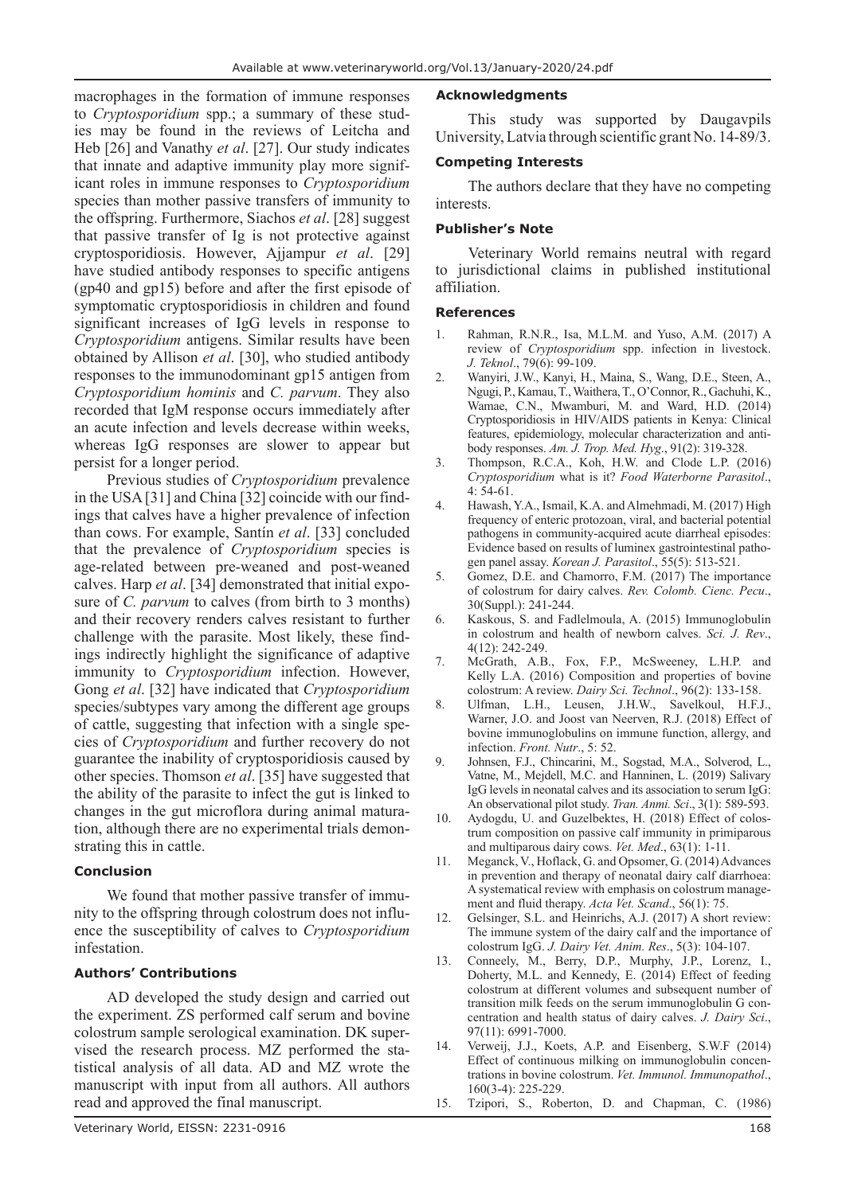macrophages in the formation of immune responses to *Cryptosporidium* spp.; a summary of these studies may be found in the reviews of Leitcha and Heb [26] and Vanathy *et al*. [27]. Our study indicates that innate and adaptive immunity play more significant roles in immune responses to *Cryptosporidium* species than mother passive transfers of immunity to the offspring. Furthermore, Siachos *et al*. [28] suggest that passive transfer of Ig is not protective against cryptosporidiosis. However, Ajjampur *et al*. [29] have studied antibody responses to specific antigens (gp40 and gp15) before and after the first episode of symptomatic cryptosporidiosis in children and found significant increases of IgG levels in response to *Cryptosporidium* antigens. Similar results have been obtained by Allison *et al*. [30], who studied antibody responses to the immunodominant gp15 antigen from *Cryptosporidium hominis* and *C. parvum*. They also recorded that IgM response occurs immediately after an acute infection and levels decrease within weeks, whereas IgG responses are slower to appear but persist for a longer period.

Previous studies of *Cryptosporidium* prevalence in the USA [31] and China [32] coincide with our findings that calves have a higher prevalence of infection than cows. For example, Santín *et al*. [33] concluded that the prevalence of *Cryptosporidium* species is age-related between pre-weaned and post-weaned calves. Harp *et al*. [34] demonstrated that initial exposure of *C. parvum* to calves (from birth to 3 months) and their recovery renders calves resistant to further challenge with the parasite. Most likely, these findings indirectly highlight the significance of adaptive immunity to *Cryptosporidium* infection. However, Gong *et al*. [32] have indicated that *Cryptosporidium* species/subtypes vary among the different age groups of cattle, suggesting that infection with a single species of *Cryptosporidium* and further recovery do not guarantee the inability of cryptosporidiosis caused by other species. Thomson *et al*. [35] have suggested that the ability of the parasite to infect the gut is linked to changes in the gut microflora during animal maturation, although there are no experimental trials demonstrating this in cattle.

### **Conclusion**

We found that mother passive transfer of immunity to the offspring through colostrum does not influence the susceptibility of calves to *Cryptosporidium* infestation.

## **Authors' Contributions**

AD developed the study design and carried out the experiment. ZS performed calf serum and bovine colostrum sample serological examination. DK supervised the research process. MZ performed the statistical analysis of all data. AD and MZ wrote the manuscript with input from all authors. All authors read and approved the final manuscript.

### **Acknowledgments**

This study was supported by Daugavpils University, Latvia through scientific grant No. 14-89/3.

### **Competing Interests**

The authors declare that they have no competing interests.

### **Publisher's Note**

Veterinary World remains neutral with regard to jurisdictional claims in published institutional affiliation.

### **References**

- 1. Rahman, R.N.R., Isa, M.L.M. and Yuso, A.M. (2017) A review of *Cryptosporidium* spp. infection in livestock. *J. Teknol*., 79(6): 99-109.
- 2. Wanyiri, J.W., Kanyi, H., Maina, S., Wang, D.E., Steen, A., Ngugi, P., Kamau, T., Waithera, T., O'Connor, R., Gachuhi, K., Wamae, C.N., Mwamburi, M. and Ward, H.D. (2014) Cryptosporidiosis in HIV/AIDS patients in Kenya: Clinical features, epidemiology, molecular characterization and antibody responses. *Am. J. Trop. Med. Hyg*., 91(2): 319-328.
- 3. Thompson, R.C.A., Koh, H.W. and Clode L.P. (2016) *Cryptosporidium* what is it? *Food Waterborne Parasitol*., 4: 54-61.
- 4. Hawash, Y.A., Ismail, K.A. and Almehmadi, M. (2017) High frequency of enteric protozoan, viral, and bacterial potential pathogens in community-acquired acute diarrheal episodes: Evidence based on results of luminex gastrointestinal pathogen panel assay. *Korean J. Parasitol*., 55(5): 513-521.
- 5. Gomez, D.E. and Chamorro, F.M. (2017) The importance of colostrum for dairy calves. *Rev. Colomb. Cienc. Pecu*., 30(Suppl.): 241-244.
- 6. Kaskous, S. and Fadlelmoula, A. (2015) Immunoglobulin in colostrum and health of newborn calves. *Sci. J. Rev*., 4(12): 242-249.
- 7. McGrath, A.B., Fox, F.P., McSweeney, L.H.P. and Kelly L.A. (2016) Composition and properties of bovine colostrum: A review. *Dairy Sci. Technol*., 96(2): 133-158.
- 8. Ulfman, L.H., Leusen, J.H.W., Savelkoul, H.F.J., Warner, J.O. and Joost van Neerven, R.J. (2018) Effect of bovine immunoglobulins on immune function, allergy, and infection. *Front. Nutr*., 5: 52.
- 9. Johnsen, F.J., Chincarini, M., Sogstad, M.A., Solverod, L., Vatne, M., Mejdell, M.C. and Hanninen, L. (2019) Salivary IgG levels in neonatal calves and its association to serum IgG: An observational pilot study. *Tran. Anmi. Sci*., 3(1): 589-593.
- 10. Aydogdu, U. and Guzelbektes, H. (2018) Effect of colostrum composition on passive calf immunity in primiparous and multiparous dairy cows. *Vet. Med*., 63(1): 1-11.
- 11. Meganck, V., Hoflack, G. and Opsomer, G. (2014) Advances in prevention and therapy of neonatal dairy calf diarrhoea: A systematical review with emphasis on colostrum management and fluid therapy. *Acta Vet. Scand*., 56(1): 75.
- 12. Gelsinger, S.L. and Heinrichs, A.J. (2017) A short review: The immune system of the dairy calf and the importance of colostrum IgG. *J. Dairy Vet. Anim. Res*., 5(3): 104-107.
- 13. Conneely, M., Berry, D.P., Murphy, J.P., Lorenz, I., Doherty, M.L. and Kennedy, E. (2014) Effect of feeding colostrum at different volumes and subsequent number of transition milk feeds on the serum immunoglobulin G concentration and health status of dairy calves. *J. Dairy Sci*., 97(11): 6991-7000.
- 14. Verweij, J.J., Koets, A.P. and Eisenberg, S.W.F (2014) Effect of continuous milking on immunoglobulin concentrations in bovine colostrum. *Vet. Immunol. Immunopathol*., 160(3-4): 225-229.
- 15. Tzipori, S., Roberton, D. and Chapman, C. (1986)